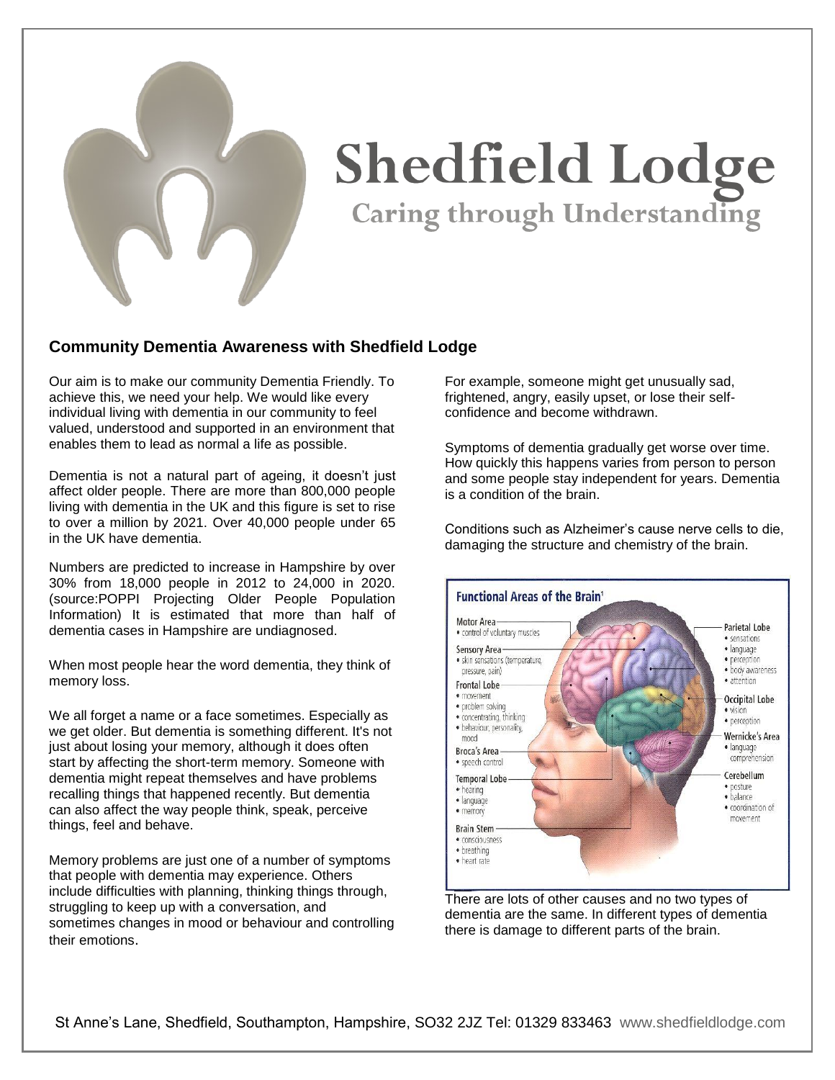

## **Shedfield Lodge** Caring through Understanding

## **Community Dementia Awareness with Shedfield Lodge**

Our aim is to make our community Dementia Friendly. To achieve this, we need your help. We would like every individual living with dementia in our community to feel valued, understood and supported in an environment that enables them to lead as normal a life as possible.

Dementia is not a natural part of ageing, it doesn't just affect older people. There are more than 800,000 people living with dementia in the UK and this figure is set to rise to over a million by 2021. Over 40,000 people under 65 in the UK have dementia.

Numbers are predicted to increase in Hampshire by over 30% from 18,000 people in 2012 to 24,000 in 2020. (source:POPPI Projecting Older People Population Information) It is estimated that more than half of dementia cases in Hampshire are undiagnosed.

When most people hear the word dementia, they think of memory loss.

We all forget a name or a face sometimes. Especially as we get older. But dementia is something different. It's not just about losing your memory, although it does often start by affecting the short-term memory. Someone with dementia might repeat themselves and have problems recalling things that happened recently. But dementia can also affect the way people think, speak, perceive things, feel and behave.

Memory problems are just one of a number of symptoms that people with dementia may experience. Others include difficulties with planning, thinking things through, struggling to keep up with a conversation, and sometimes changes in mood or behaviour and controlling their emotions.

For example, someone might get unusually sad, frightened, angry, easily upset, or lose their selfconfidence and become withdrawn.

Symptoms of dementia gradually get worse over time. How quickly this happens varies from person to person and some people stay independent for years. Dementia is a condition of the brain.

Conditions such as Alzheimer's cause nerve cells to die, damaging the structure and chemistry of the brain.



There are lots of other causes and no two types of dementia are the same. In different types of dementia there is damage to different parts of the brain.

St Anne's Lane, Shedfield, Southampton, Hampshire, SO32 2JZ Tel: 01329 833463 [www.shedfieldlodge.com](http://www.shedfieldlodge.com/)